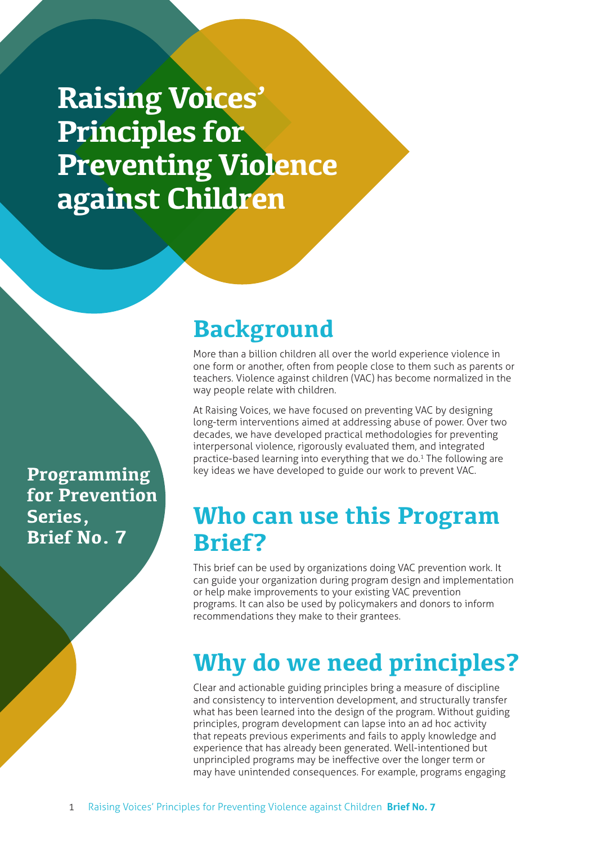**Raising Voices' Principles for Preventing Violence against Children**

**Programming for Prevention Series, Brief No. 7**

# **Background**

More than a billion children all over the world experience violence in one form or another, often from people close to them such as parents or teachers. Violence against children (VAC) has become normalized in the way people relate with children.

At Raising Voices, we have focused on preventing VAC by designing long-term interventions aimed at addressing abuse of power. Over two decades, we have developed practical methodologies for preventing interpersonal violence, rigorously evaluated them, and integrated practice-based learning into everything that we do.<sup>1</sup> The following are key ideas we have developed to guide our work to prevent VAC.

# **Who can use this Program Brief?**

This brief can be used by organizations doing VAC prevention work. It can guide your organization during program design and implementation or help make improvements to your existing VAC prevention programs. It can also be used by policymakers and donors to inform recommendations they make to their grantees.

# **Why do we need principles?**

Clear and actionable guiding principles bring a measure of discipline and consistency to intervention development, and structurally transfer what has been learned into the design of the program. Without guiding principles, program development can lapse into an ad hoc activity that repeats previous experiments and fails to apply knowledge and experience that has already been generated. Well-intentioned but unprincipled programs may be ineffective over the longer term or may have unintended consequences. For example, programs engaging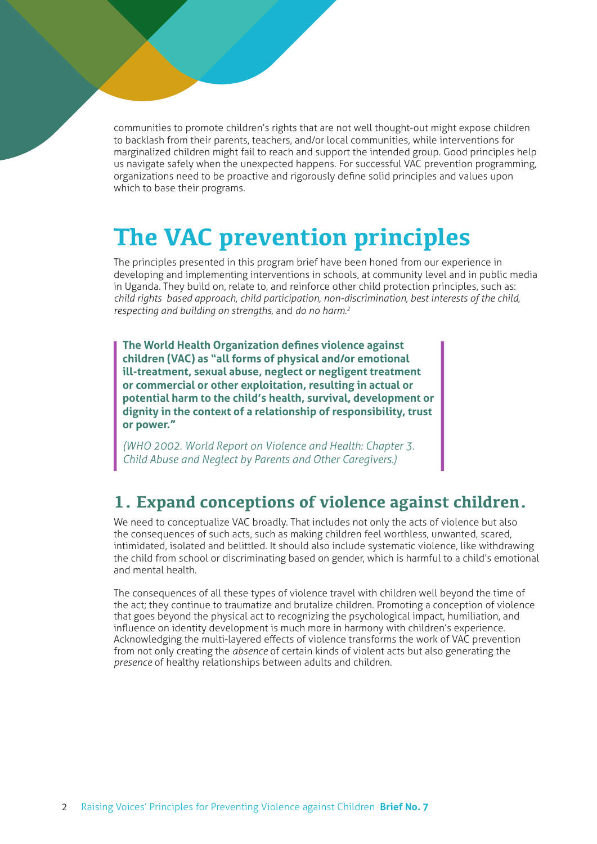communities to promote children's rights that are not well thought-out might expose children to backlash from their parents, teachers, and/or local communities, while interventions for marginalized children might fail to reach and support the intended group. Good principles help us navigate safely when the unexpected happens. For successful VAC prevention programming, organizations need to be proactive and rigorously define solid principles and values upon which to base their programs.

# **The VAC prevention principles**

The principles presented in this program brief have been honed from our experience in developing and implementing interventions in schools, at community level and in public media in Uganda. They build on, relate to, and reinforce other child protection principles, such as: *child rights‐based approach, child participation, non-discrimination, best interests of the child, respecting and building on strengths,* and *do no harm.<sup>2</sup>*

**The World Health Organization defines violence against children (VAC) as "all forms of physical and/or emotional ill-treatment, sexual abuse, neglect or negligent treatment or commercial or other exploitation, resulting in actual or potential harm to the child's health, survival, development or dignity in the context of a relationship of responsibility, trust or power."** 

*(WHO 2002. World Report on Violence and Health: Chapter 3. Child Abuse and Neglect by Parents and Other Caregivers.)*

### **1. Expand conceptions of violence against children.**

We need to conceptualize VAC broadly. That includes not only the acts of violence but also the consequences of such acts, such as making children feel worthless, unwanted, scared, intimidated, isolated and belittled. It should also include systematic violence, like withdrawing the child from school or discriminating based on gender, which is harmful to a child's emotional and mental health.

The consequences of all these types of violence travel with children well beyond the time of the act; they continue to traumatize and brutalize children. Promoting a conception of violence that goes beyond the physical act to recognizing the psychological impact, humiliation, and influence on identity development is much more in harmony with children's experience. Acknowledging the multi-layered effects of violence transforms the work of VAC prevention from not only creating the *absence* of certain kinds of violent acts but also generating the *presence* of healthy relationships between adults and children.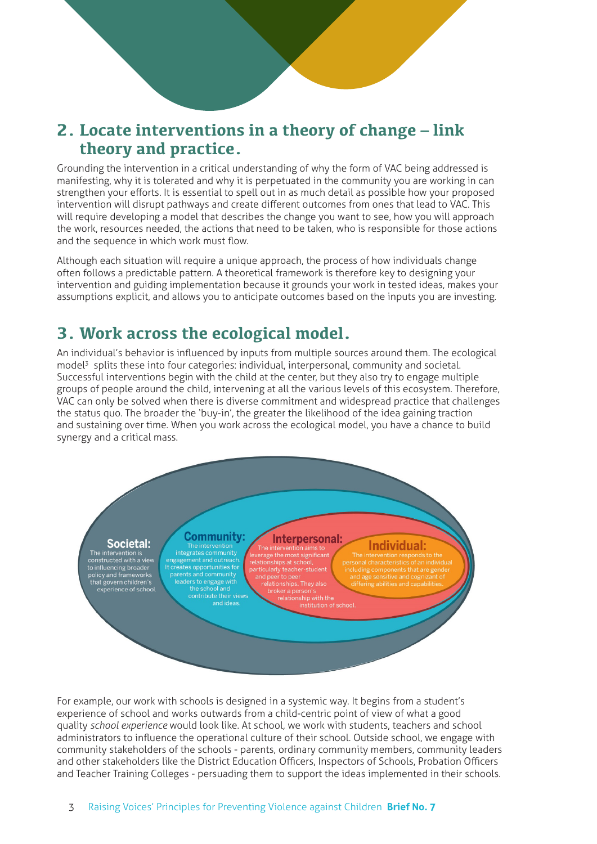### **2. Locate interventions in a theory of change – link theory and practice.**

Grounding the intervention in a critical understanding of why the form of VAC being addressed is manifesting, why it is tolerated and why it is perpetuated in the community you are working in can strengthen your efforts. It is essential to spell out in as much detail as possible how your proposed intervention will disrupt pathways and create different outcomes from ones that lead to VAC. This will require developing a model that describes the change you want to see, how you will approach the work, resources needed, the actions that need to be taken, who is responsible for those actions and the sequence in which work must flow.

Although each situation will require a unique approach, the process of how individuals change often follows a predictable pattern. A theoretical framework is therefore key to designing your intervention and guiding implementation because it grounds your work in tested ideas, makes your assumptions explicit, and allows you to anticipate outcomes based on the inputs you are investing.

### **3. Work across the ecological model.**

An individual's behavior is influenced by inputs from multiple sources around them. The ecological model<sup>3</sup> splits these into four categories: individual, interpersonal, community and societal. Successful interventions begin with the child at the center, but they also try to engage multiple groups of people around the child, intervening at all the various levels of this ecosystem. Therefore, VAC can only be solved when there is diverse commitment and widespread practice that challenges the status quo. The broader the 'buy-in', the greater the likelihood of the idea gaining traction and sustaining over time. When you work across the ecological model, you have a chance to build synergy and a critical mass.



For example, our work with schools is designed in a systemic way. It begins from a student's experience of school and works outwards from a child-centric point of view of what a good quality *school experience* would look like. At school, we work with students, teachers and school administrators to influence the operational culture of their school. Outside school, we engage with community stakeholders of the schools - parents, ordinary community members, community leaders and other stakeholders like the District Education Officers, Inspectors of Schools, Probation Officers and Teacher Training Colleges - persuading them to support the ideas implemented in their schools.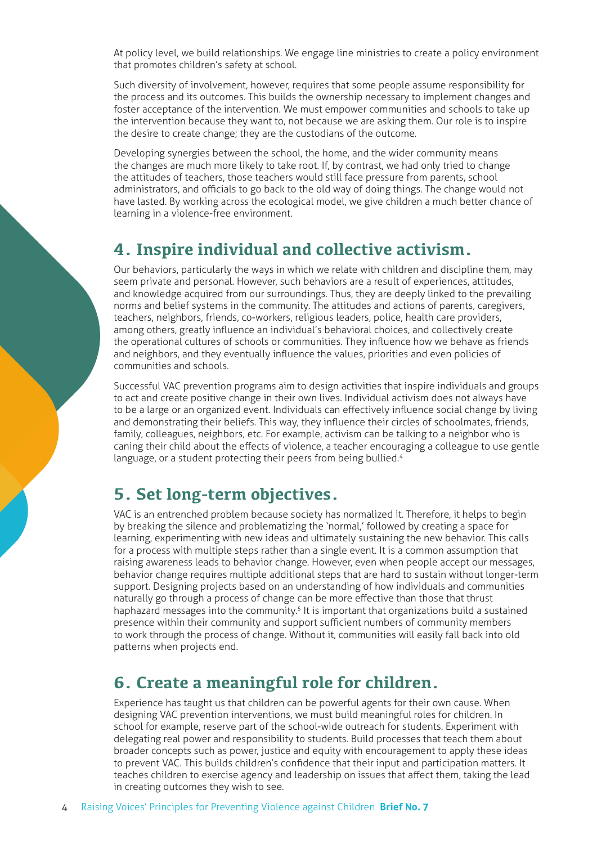At policy level, we build relationships. We engage line ministries to create a policy environment that promotes children's safety at school.

Such diversity of involvement, however, requires that some people assume responsibility for the process and its outcomes. This builds the ownership necessary to implement changes and foster acceptance of the intervention. We must empower communities and schools to take up the intervention because they want to, not because we are asking them. Our role is to inspire the desire to create change; they are the custodians of the outcome.

Developing synergies between the school, the home, and the wider community means the changes are much more likely to take root. If, by contrast, we had only tried to change the attitudes of teachers, those teachers would still face pressure from parents, school administrators, and officials to go back to the old way of doing things. The change would not have lasted. By working across the ecological model, we give children a much better chance of learning in a violence-free environment.

#### **4. Inspire individual and collective activism.**

Our behaviors, particularly the ways in which we relate with children and discipline them, may seem private and personal. However, such behaviors are a result of experiences, attitudes, and knowledge acquired from our surroundings. Thus, they are deeply linked to the prevailing norms and belief systems in the community. The attitudes and actions of parents, caregivers, teachers, neighbors, friends, co-workers, religious leaders, police, health care providers, among others, greatly influence an individual's behavioral choices, and collectively create the operational cultures of schools or communities. They influence how we behave as friends and neighbors, and they eventually influence the values, priorities and even policies of communities and schools.

Successful VAC prevention programs aim to design activities that inspire individuals and groups to act and create positive change in their own lives. Individual activism does not always have to be a large or an organized event. Individuals can effectively influence social change by living and demonstrating their beliefs. This way, they influence their circles of schoolmates, friends, family, colleagues, neighbors, etc. For example, activism can be talking to a neighbor who is caning their child about the effects of violence, a teacher encouraging a colleague to use gentle language, or a student protecting their peers from being bullied.<sup>4</sup>

## **5. Set long-term objectives.**

VAC is an entrenched problem because society has normalized it. Therefore, it helps to begin by breaking the silence and problematizing the 'normal,' followed by creating a space for learning, experimenting with new ideas and ultimately sustaining the new behavior. This calls for a process with multiple steps rather than a single event. It is a common assumption that raising awareness leads to behavior change. However, even when people accept our messages, behavior change requires multiple additional steps that are hard to sustain without longer-term support. Designing projects based on an understanding of how individuals and communities naturally go through a process of change can be more effective than those that thrust haphazard messages into the community.<sup>5</sup> It is important that organizations build a sustained presence within their community and support sufficient numbers of community members to work through the process of change. Without it, communities will easily fall back into old patterns when projects end.

## **6. Create a meaningful role for children.**

Experience has taught us that children can be powerful agents for their own cause. When designing VAC prevention interventions, we must build meaningful roles for children. In school for example, reserve part of the school-wide outreach for students. Experiment with delegating real power and responsibility to students. Build processes that teach them about broader concepts such as power, justice and equity with encouragement to apply these ideas to prevent VAC. This builds children's confidence that their input and participation matters. It teaches children to exercise agency and leadership on issues that affect them, taking the lead in creating outcomes they wish to see.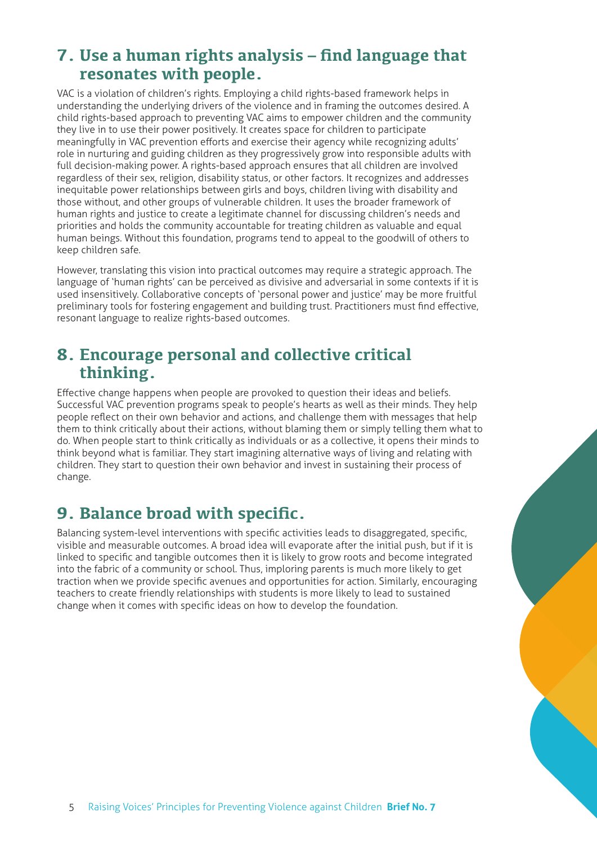### **7. Use a human rights analysis – find language that resonates with people.**

VAC is a violation of children's rights. Employing a child rights-based framework helps in understanding the underlying drivers of the violence and in framing the outcomes desired. A child rights-based approach to preventing VAC aims to empower children and the community they live in to use their power positively. It creates space for children to participate meaningfully in VAC prevention efforts and exercise their agency while recognizing adults' role in nurturing and guiding children as they progressively grow into responsible adults with full decision-making power. A rights-based approach ensures that all children are involved regardless of their sex, religion, disability status, or other factors. It recognizes and addresses inequitable power relationships between girls and boys, children living with disability and those without, and other groups of vulnerable children. It uses the broader framework of human rights and justice to create a legitimate channel for discussing children's needs and priorities and holds the community accountable for treating children as valuable and equal human beings. Without this foundation, programs tend to appeal to the goodwill of others to keep children safe.

However, translating this vision into practical outcomes may require a strategic approach. The language of 'human rights' can be perceived as divisive and adversarial in some contexts if it is used insensitively. Collaborative concepts of 'personal power and justice' may be more fruitful preliminary tools for fostering engagement and building trust. Practitioners must find effective, resonant language to realize rights-based outcomes.

#### **8. Encourage personal and collective critical thinking.**

Effective change happens when people are provoked to question their ideas and beliefs. Successful VAC prevention programs speak to people's hearts as well as their minds. They help people reflect on their own behavior and actions, and challenge them with messages that help them to think critically about their actions, without blaming them or simply telling them what to do. When people start to think critically as individuals or as a collective, it opens their minds to think beyond what is familiar. They start imagining alternative ways of living and relating with children. They start to question their own behavior and invest in sustaining their process of change.

## **9. Balance broad with specific.**

Balancing system-level interventions with specific activities leads to disaggregated, specific, visible and measurable outcomes. A broad idea will evaporate after the initial push, but if it is linked to specific and tangible outcomes then it is likely to grow roots and become integrated into the fabric of a community or school. Thus, imploring parents is much more likely to get traction when we provide specific avenues and opportunities for action. Similarly, encouraging teachers to create friendly relationships with students is more likely to lead to sustained change when it comes with specific ideas on how to develop the foundation.